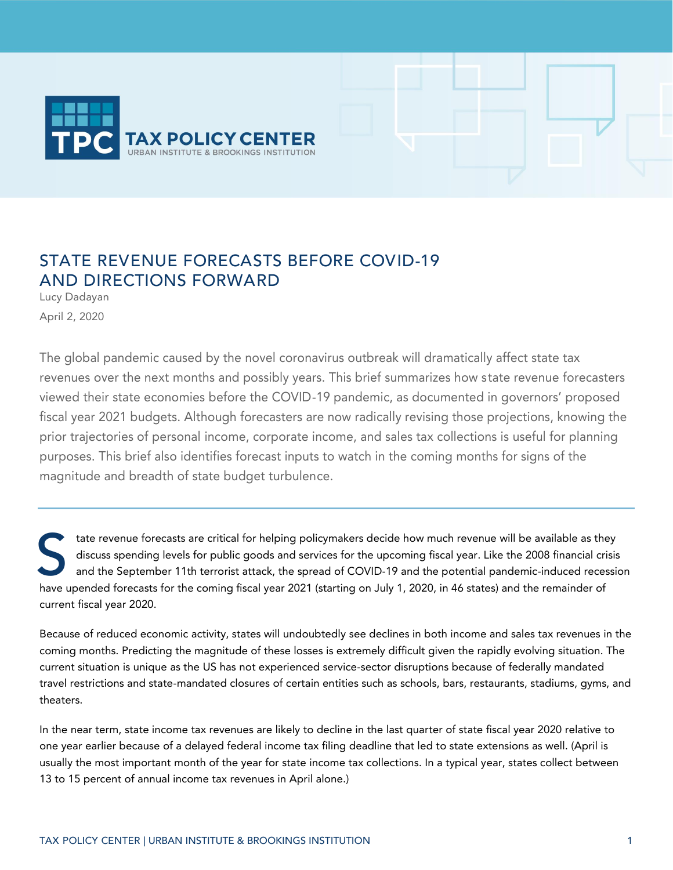

# STATE REVENUE FORECASTS BEFORE COVID-19 AND DIRECTIONS FORWARD

Lucy Dadayan April 2, 2020

The global pandemic caused by the novel coronavirus outbreak will dramatically affect state tax revenues over the next months and possibly years. This brief summarizes how state revenue forecasters viewed their state economies before the COVID-19 pandemic, as documented in governors' proposed fiscal year 2021 budgets. Although forecasters are now radically revising those projections, knowing the prior trajectories of personal income, corporate income, and sales tax collections is useful for planning purposes. This brief also identifies forecast inputs to watch in the coming months for signs of the magnitude and breadth of state budget turbulence.

tate revenue forecasts are critical for helping policymakers decide how much revenue will be available as they discuss spending levels for public goods and services for the upcoming fiscal year. Like the 2008 financial crisis and the September 11th terrorist attack, the spread of COVID-19 and the potential pandemic-induced recession tate revenue forecasts are critical for helping policymakers decide how much revenue will be available as the discuss spending levels for public goods and services for the upcoming fiscal year. Like the 2008 financial cri<br> current fiscal year 2020.

Because of reduced economic activity, states will undoubtedly see declines in both income and sales tax revenues in the coming months. Predicting the magnitude of these losses is extremely difficult given the rapidly evolving situation. The current situation is unique as the US has not experienced service-sector disruptions because of federally mandated travel restrictions and state-mandated closures of certain entities such as schools, bars, restaurants, stadiums, gyms, and theaters.

In the near term, state income tax revenues are likely to decline in the last quarter of state fiscal year 2020 relative to one year earlier because of a delayed federal income tax filing deadline that led to state extensions as well. (April is usually the most important month of the year for state income tax collections. In a typical year, states collect between 13 to 15 percent of annual income tax revenues in April alone.)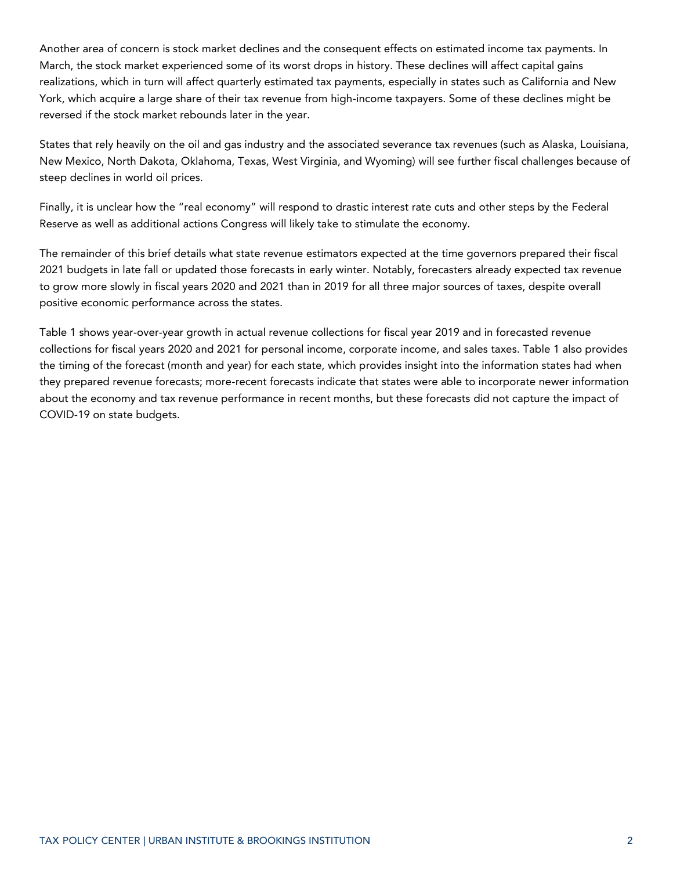Another area of concern is stock market declines and the consequent effects on estimated income tax payments. In March, the stock market experienced some of its worst drops in history. These declines will affect capital gains realizations, which in turn will affect quarterly estimated tax payments, especially in states such as California and New York, which acquire a large share of their tax revenue from high-income taxpayers. Some of these declines might be reversed if the stock market rebounds later in the year.

States that rely heavily on the oil and gas industry and the associated severance tax revenues (such as Alaska, Louisiana, New Mexico, North Dakota, Oklahoma, Texas, West Virginia, and Wyoming) will see further fiscal challenges because of steep declines in world oil prices.

Finally, it is unclear how the "real economy" will respond to drastic interest rate cuts and other steps by the Federal Reserve as well as additional actions Congress will likely take to stimulate the economy.

The remainder of this brief details what state revenue estimators expected at the time governors prepared their fiscal 2021 budgets in late fall or updated those forecasts in early winter. Notably, forecasters already expected tax revenue to grow more slowly in fiscal years 2020 and 2021 than in 2019 for all three major sources of taxes, despite overall positive economic performance across the states.

Table 1 shows year-over-year growth in actual revenue collections for fiscal year 2019 and in forecasted revenue collections for fiscal years 2020 and 2021 for personal income, corporate income, and sales taxes. Table 1 also provides the timing of the forecast (month and year) for each state, which provides insight into the information states had when they prepared revenue forecasts; more-recent forecasts indicate that states were able to incorporate newer information about the economy and tax revenue performance in recent months, but these forecasts did not capture the impact of COVID-19 on state budgets.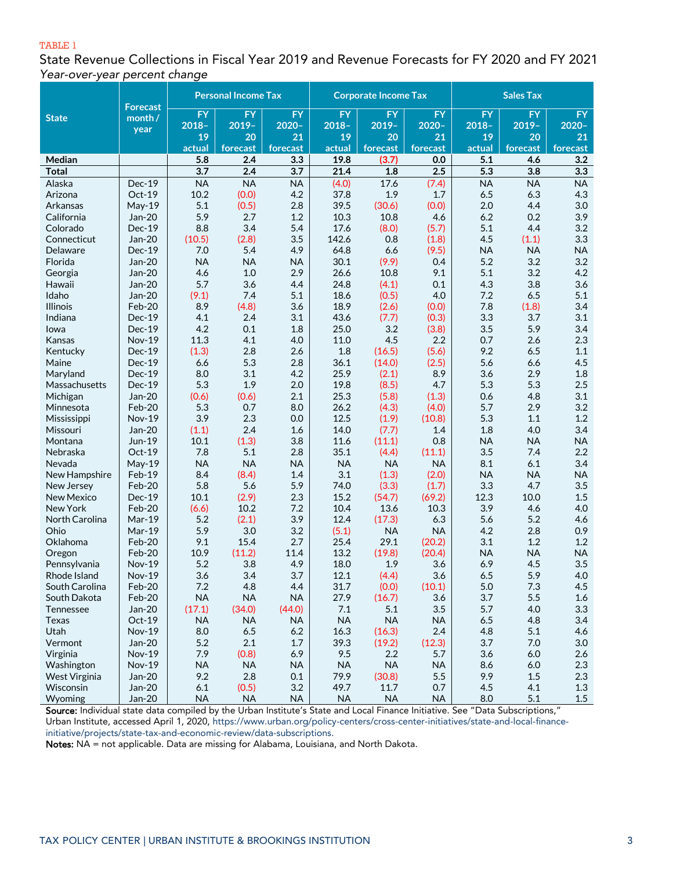#### TABLE 1

State Revenue Collections in Fiscal Year 2019 and Revenue Forecasts for FY 2020 and FY 2021 *Year-over-year percent change*

| <b>FY</b><br><b>FY</b><br><b>FY</b><br><b>FY</b><br><b>FY</b><br><b>FY</b><br>FY<br>FY<br><b>FY</b><br><b>State</b><br>month /<br>$2020 -$<br>$2019 -$<br>$2020 -$<br>$2019 -$<br>$2020 -$<br>$2018 -$<br>$2019 -$<br>$2018 -$<br>$2018 -$<br>year<br>19<br>21<br>20<br>21<br>19<br>20<br>21<br>20<br>19<br>actual<br>forecast<br>forecast<br>forecast<br>actual<br>forecast<br>actual<br>forecast<br>forecast<br>5.8<br>2.4<br>3.3<br>19.8<br>(3.7)<br>0.0<br>5.1<br>3.2<br>Median<br>4.6<br>$\overline{5.3}$<br>3.7<br>2.4<br>3.7<br>2.5<br>3.8<br>3.3<br><b>Total</b><br>21.4<br>1.8<br><b>NA</b><br><b>NA</b><br>17.6<br><b>NA</b><br><b>NA</b><br>Dec-19<br><b>NA</b><br>(4.0)<br>(7.4)<br><b>NA</b><br>Alaska<br>Oct-19<br>10.2<br>(0.0)<br>4.2<br>1.9<br>1.7<br>6.5<br>6.3<br>4.3<br>Arizona<br>37.8<br>39.5<br>3.0<br>5.1<br>(0.5)<br>2.8<br>(30.6)<br>(0.0)<br>2.0<br>4.4<br>Arkansas<br>May-19<br>5.9<br>3.9<br>2.7<br>1.2<br>10.3<br>10.8<br>4.6<br>6.2<br>0.2<br>California<br>Jan-20<br>8.8<br>3.4<br>5.4<br>17.6<br>(8.0)<br>(5.7)<br>5.1<br>4.4<br>3.2<br>Colorado<br>$Dec-19$<br>Jan-20<br>(2.8)<br>3.5<br>142.6<br>0.8<br>(1.8)<br>4.5<br>3.3<br>Connecticut<br>(10.5)<br>(1.1)<br>5.4<br>7.0<br>4.9<br>64.8<br>6.6<br>(9.5)<br><b>NA</b><br><b>NA</b><br><b>NA</b><br>Delaware<br>Dec-19<br>Jan-20<br><b>NA</b><br><b>NA</b><br>30.1<br>(9.9)<br>5.2<br>3.2<br>3.2<br>Florida<br><b>NA</b><br>0.4<br>5.1<br>Jan-20<br>4.6<br>$1.0$<br>2.9<br>26.6<br>10.8<br>9.1<br>3.2<br>4.2<br>Georgia<br>5.7<br>Jan-20<br>3.6<br>24.8<br>0.1<br>4.3<br>3.8<br>3.6<br>4.4<br>(4.1)<br>Hawaii<br>5.1<br>Idaho<br>Jan-20<br>(9.1)<br>7.4<br>5.1<br>18.6<br>(0.5)<br>4.0<br>7.2<br>6.5<br>Feb-20<br>8.9<br>(4.8)<br>3.6<br>18.9<br>7.8<br>(1.8)<br>3.4<br><b>Illinois</b><br>(2.6)<br>(0.0)<br>4.1<br>2.4<br>3.1<br>43.6<br>3.3<br>3.7<br>3.1<br>Indiana<br>Dec-19<br>(7.7)<br>(0.3)<br>4.2<br>3.5<br>5.9<br>3.4<br>$Dec-19$<br>0.1<br>25.0<br>3.2<br>lowa<br>1.8<br>(3.8)<br>11.3<br>4.1<br>4.5<br>2.2<br>0.7<br>2.3<br>Kansas<br><b>Nov-19</b><br>4.0<br>11.0<br>2.6<br>Dec-19<br>(1.3)<br>2.8<br>2.6<br>1.8<br>(16.5)<br>(5.6)<br>9.2<br>6.5<br>1.1<br>Kentucky<br>5.3<br>Dec-19<br>6.6<br>2.8<br>36.1<br>(14.0)<br>(2.5)<br>5.6<br>4.5<br>Maine<br>6.6<br>8.0<br>3.1<br>25.9<br>(2.1)<br>8.9<br>3.6<br>2.9<br>1.8<br>Maryland<br>Dec-19<br>4.2<br>5.3<br>1.9<br>5.3<br>2.5<br>Dec-19<br>19.8<br>(8.5)<br>4.7<br>5.3<br>Massachusetts<br>2.0<br>Jan-20<br>2.1<br>25.3<br>(5.8)<br>(1.3)<br>0.6<br>3.1<br>Michigan<br>(0.6)<br>(0.6)<br>4.8<br>5.3<br>0.7<br>3.2<br>Feb-20<br>8.0<br>26.2<br>(4.3)<br>(4.0)<br>5.7<br>2.9<br>Minnesota<br>3.9<br>2.3<br>12.5<br>(1.9)<br>5.3<br>1.2<br>Mississippi<br><b>Nov-19</b><br>0.0<br>(10.8)<br>1.1<br>3.4<br>Jan-20<br>(1.1)<br>2.4<br>1.6<br>14.0<br>1.8<br>Missouri<br>(7.7)<br>1.4<br>4.0<br>(1.3)<br>Jun-19<br>10.1<br>3.8<br>11.6<br>0.8<br><b>NA</b><br><b>NA</b><br>Montana<br>(11.1)<br><b>NA</b><br>Oct-19<br>7.8<br>5.1<br>35.1<br>3.5<br>2.2<br>Nebraska<br>2.8<br>(4.4)<br>(11.1)<br>7.4<br><b>NA</b><br><b>NA</b><br><b>NA</b><br><b>NA</b><br><b>NA</b><br><b>NA</b><br>8.1<br>6.1<br>3.4<br>Nevada<br>May-19<br>Feb-19<br>8.4<br>(8.4)<br>1.4<br>3.1<br>(1.3)<br>(2.0)<br><b>NA</b><br><b>NA</b><br><b>NA</b><br>New Hampshire<br>Feb-20<br>5.8<br>5.6<br>5.9<br>(3.3)<br>3.3<br>4.7<br>3.5<br>74.0<br>(1.7)<br>New Jersey<br>Dec-19<br>10.1<br>(2.9)<br>2.3<br>15.2<br>(69.2)<br>12.3<br>10.0<br>1.5<br><b>New Mexico</b><br>(54.7)<br>3.9<br>Feb-20<br>10.2<br>7.2<br>10.4<br>13.6<br>4.6<br>4.0<br>New York<br>(6.6)<br>10.3<br>3.9<br>Mar-19<br>5.2<br>(2.1)<br>12.4<br>(17.3)<br>6.3<br>5.6<br>5.2<br>4.6<br>North Carolina<br>5.9<br>Mar-19<br>3.0<br>3.2<br>(5.1)<br><b>NA</b><br>4.2<br>Ohio<br><b>NA</b><br>2.8<br>0.9<br>Feb-20<br>9.1<br>15.4<br>2.7<br>25.4<br>29.1<br>3.1<br>1.2<br>1.2<br>Oklahoma<br>(20.2)<br>10.9<br>(11.2)<br>13.2<br>(19.8)<br>(20.4)<br><b>NA</b><br>Feb-20<br>11.4<br><b>NA</b><br><b>NA</b><br>Oregon<br>5.2<br>3.8<br>6.9<br>4.5<br>3.5<br><b>Nov-19</b><br>4.9<br>18.0<br>1.9<br>3.6<br>Pennsylvania<br>3.7<br>Nov-19<br>3.6<br>3.4<br>12.1<br>(4.4)<br>3.6<br>6.5<br>5.9<br>4.0<br>Rhode Island<br>7.2<br>4.8<br>4.4<br>31.7<br>(10.1)<br>5.0<br>7.3<br>4.5<br>Feb-20<br>(0.0)<br>South Carolina<br>Feb-20<br><b>NA</b><br>27.9<br>(16.7)<br>3.7<br>5.5<br>South Dakota<br><b>NA</b><br><b>NA</b><br>3.6<br>1.6<br>(34.0)<br>(44.0)<br>3.5<br>5.7<br>4.0<br>3.3<br>Jan-20<br>(17.1)<br>7.1<br>5.1<br>Tennessee<br><b>NA</b><br><b>NA</b><br>6.5<br>4.8<br>3.4<br>Texas<br>$Oct-19$<br><b>NA</b><br><b>NA</b><br><b>NA</b><br><b>NA</b><br>Utah<br>8.0<br>6.5<br>6.2<br>16.3<br>2.4<br>4.8<br>5.1<br>4.6<br><b>Nov-19</b><br>(16.3)<br>Jan-20<br>5.2<br>2.1<br>39.3<br>(19.2)<br>3.7<br>Vermont<br>1.7<br>(12.3)<br>7.0<br>3.0<br>7.9<br>(0.8)<br>6.9<br>9.5<br>$3.6\,$<br>2.6<br>Virginia<br>Nov-19<br>2.2<br>5.7<br>6.0<br><b>NA</b><br><b>NA</b><br><b>NA</b><br>2.3<br>Nov-19<br><b>NA</b><br><b>NA</b><br><b>NA</b><br>8.6<br>6.0<br>Washington<br>9.2<br>2.8<br>79.9<br>5.5<br>9.9<br>West Virginia<br>Jan-20<br>0.1<br>(30.8)<br>1.5<br>2.3 |           |        | <b>Personal Income Tax</b><br><b>Forecast</b> |       |     | <b>Corporate Income Tax</b> |      |     | <b>Sales Tax</b> |     |     |
|--------------------------------------------------------------------------------------------------------------------------------------------------------------------------------------------------------------------------------------------------------------------------------------------------------------------------------------------------------------------------------------------------------------------------------------------------------------------------------------------------------------------------------------------------------------------------------------------------------------------------------------------------------------------------------------------------------------------------------------------------------------------------------------------------------------------------------------------------------------------------------------------------------------------------------------------------------------------------------------------------------------------------------------------------------------------------------------------------------------------------------------------------------------------------------------------------------------------------------------------------------------------------------------------------------------------------------------------------------------------------------------------------------------------------------------------------------------------------------------------------------------------------------------------------------------------------------------------------------------------------------------------------------------------------------------------------------------------------------------------------------------------------------------------------------------------------------------------------------------------------------------------------------------------------------------------------------------------------------------------------------------------------------------------------------------------------------------------------------------------------------------------------------------------------------------------------------------------------------------------------------------------------------------------------------------------------------------------------------------------------------------------------------------------------------------------------------------------------------------------------------------------------------------------------------------------------------------------------------------------------------------------------------------------------------------------------------------------------------------------------------------------------------------------------------------------------------------------------------------------------------------------------------------------------------------------------------------------------------------------------------------------------------------------------------------------------------------------------------------------------------------------------------------------------------------------------------------------------------------------------------------------------------------------------------------------------------------------------------------------------------------------------------------------------------------------------------------------------------------------------------------------------------------------------------------------------------------------------------------------------------------------------------------------------------------------------------------------------------------------------------------------------------------------------------------------------------------------------------------------------------------------------------------------------------------------------------------------------------------------------------------------------------------------------------------------------------------------------------------------------------------------------------------------------------------------------------------------------------------------------------------------------------------------------------------------------------------------------------------------------------------------------------------------------------------------------------------------------------------------------------------------------------------------------------------------------------------------------------------------------------------------------------------------------------------------------------------------------------------------------------------------------------------------------------------------------------------------------------------------------------------------------------------------------------------------------------------------------------------------------------------------------------------------------------------------------------------------------------------------------------------------------------|-----------|--------|-----------------------------------------------|-------|-----|-----------------------------|------|-----|------------------|-----|-----|
|                                                                                                                                                                                                                                                                                                                                                                                                                                                                                                                                                                                                                                                                                                                                                                                                                                                                                                                                                                                                                                                                                                                                                                                                                                                                                                                                                                                                                                                                                                                                                                                                                                                                                                                                                                                                                                                                                                                                                                                                                                                                                                                                                                                                                                                                                                                                                                                                                                                                                                                                                                                                                                                                                                                                                                                                                                                                                                                                                                                                                                                                                                                                                                                                                                                                                                                                                                                                                                                                                                                                                                                                                                                                                                                                                                                                                                                                                                                                                                                                                                                                                                                                                                                                                                                                                                                                                                                                                                                                                                                                                                                                                                                                                                                                                                                                                                                                                                                                                                                                                                                                                                                                                        |           |        |                                               |       |     |                             |      |     |                  |     |     |
|                                                                                                                                                                                                                                                                                                                                                                                                                                                                                                                                                                                                                                                                                                                                                                                                                                                                                                                                                                                                                                                                                                                                                                                                                                                                                                                                                                                                                                                                                                                                                                                                                                                                                                                                                                                                                                                                                                                                                                                                                                                                                                                                                                                                                                                                                                                                                                                                                                                                                                                                                                                                                                                                                                                                                                                                                                                                                                                                                                                                                                                                                                                                                                                                                                                                                                                                                                                                                                                                                                                                                                                                                                                                                                                                                                                                                                                                                                                                                                                                                                                                                                                                                                                                                                                                                                                                                                                                                                                                                                                                                                                                                                                                                                                                                                                                                                                                                                                                                                                                                                                                                                                                                        |           |        |                                               |       |     |                             |      |     |                  |     |     |
|                                                                                                                                                                                                                                                                                                                                                                                                                                                                                                                                                                                                                                                                                                                                                                                                                                                                                                                                                                                                                                                                                                                                                                                                                                                                                                                                                                                                                                                                                                                                                                                                                                                                                                                                                                                                                                                                                                                                                                                                                                                                                                                                                                                                                                                                                                                                                                                                                                                                                                                                                                                                                                                                                                                                                                                                                                                                                                                                                                                                                                                                                                                                                                                                                                                                                                                                                                                                                                                                                                                                                                                                                                                                                                                                                                                                                                                                                                                                                                                                                                                                                                                                                                                                                                                                                                                                                                                                                                                                                                                                                                                                                                                                                                                                                                                                                                                                                                                                                                                                                                                                                                                                                        |           |        |                                               |       |     |                             |      |     |                  |     |     |
|                                                                                                                                                                                                                                                                                                                                                                                                                                                                                                                                                                                                                                                                                                                                                                                                                                                                                                                                                                                                                                                                                                                                                                                                                                                                                                                                                                                                                                                                                                                                                                                                                                                                                                                                                                                                                                                                                                                                                                                                                                                                                                                                                                                                                                                                                                                                                                                                                                                                                                                                                                                                                                                                                                                                                                                                                                                                                                                                                                                                                                                                                                                                                                                                                                                                                                                                                                                                                                                                                                                                                                                                                                                                                                                                                                                                                                                                                                                                                                                                                                                                                                                                                                                                                                                                                                                                                                                                                                                                                                                                                                                                                                                                                                                                                                                                                                                                                                                                                                                                                                                                                                                                                        |           |        |                                               |       |     |                             |      |     |                  |     |     |
|                                                                                                                                                                                                                                                                                                                                                                                                                                                                                                                                                                                                                                                                                                                                                                                                                                                                                                                                                                                                                                                                                                                                                                                                                                                                                                                                                                                                                                                                                                                                                                                                                                                                                                                                                                                                                                                                                                                                                                                                                                                                                                                                                                                                                                                                                                                                                                                                                                                                                                                                                                                                                                                                                                                                                                                                                                                                                                                                                                                                                                                                                                                                                                                                                                                                                                                                                                                                                                                                                                                                                                                                                                                                                                                                                                                                                                                                                                                                                                                                                                                                                                                                                                                                                                                                                                                                                                                                                                                                                                                                                                                                                                                                                                                                                                                                                                                                                                                                                                                                                                                                                                                                                        |           |        |                                               |       |     |                             |      |     |                  |     |     |
|                                                                                                                                                                                                                                                                                                                                                                                                                                                                                                                                                                                                                                                                                                                                                                                                                                                                                                                                                                                                                                                                                                                                                                                                                                                                                                                                                                                                                                                                                                                                                                                                                                                                                                                                                                                                                                                                                                                                                                                                                                                                                                                                                                                                                                                                                                                                                                                                                                                                                                                                                                                                                                                                                                                                                                                                                                                                                                                                                                                                                                                                                                                                                                                                                                                                                                                                                                                                                                                                                                                                                                                                                                                                                                                                                                                                                                                                                                                                                                                                                                                                                                                                                                                                                                                                                                                                                                                                                                                                                                                                                                                                                                                                                                                                                                                                                                                                                                                                                                                                                                                                                                                                                        |           |        |                                               |       |     |                             |      |     |                  |     |     |
|                                                                                                                                                                                                                                                                                                                                                                                                                                                                                                                                                                                                                                                                                                                                                                                                                                                                                                                                                                                                                                                                                                                                                                                                                                                                                                                                                                                                                                                                                                                                                                                                                                                                                                                                                                                                                                                                                                                                                                                                                                                                                                                                                                                                                                                                                                                                                                                                                                                                                                                                                                                                                                                                                                                                                                                                                                                                                                                                                                                                                                                                                                                                                                                                                                                                                                                                                                                                                                                                                                                                                                                                                                                                                                                                                                                                                                                                                                                                                                                                                                                                                                                                                                                                                                                                                                                                                                                                                                                                                                                                                                                                                                                                                                                                                                                                                                                                                                                                                                                                                                                                                                                                                        |           |        |                                               |       |     |                             |      |     |                  |     |     |
|                                                                                                                                                                                                                                                                                                                                                                                                                                                                                                                                                                                                                                                                                                                                                                                                                                                                                                                                                                                                                                                                                                                                                                                                                                                                                                                                                                                                                                                                                                                                                                                                                                                                                                                                                                                                                                                                                                                                                                                                                                                                                                                                                                                                                                                                                                                                                                                                                                                                                                                                                                                                                                                                                                                                                                                                                                                                                                                                                                                                                                                                                                                                                                                                                                                                                                                                                                                                                                                                                                                                                                                                                                                                                                                                                                                                                                                                                                                                                                                                                                                                                                                                                                                                                                                                                                                                                                                                                                                                                                                                                                                                                                                                                                                                                                                                                                                                                                                                                                                                                                                                                                                                                        |           |        |                                               |       |     |                             |      |     |                  |     |     |
|                                                                                                                                                                                                                                                                                                                                                                                                                                                                                                                                                                                                                                                                                                                                                                                                                                                                                                                                                                                                                                                                                                                                                                                                                                                                                                                                                                                                                                                                                                                                                                                                                                                                                                                                                                                                                                                                                                                                                                                                                                                                                                                                                                                                                                                                                                                                                                                                                                                                                                                                                                                                                                                                                                                                                                                                                                                                                                                                                                                                                                                                                                                                                                                                                                                                                                                                                                                                                                                                                                                                                                                                                                                                                                                                                                                                                                                                                                                                                                                                                                                                                                                                                                                                                                                                                                                                                                                                                                                                                                                                                                                                                                                                                                                                                                                                                                                                                                                                                                                                                                                                                                                                                        |           |        |                                               |       |     |                             |      |     |                  |     |     |
|                                                                                                                                                                                                                                                                                                                                                                                                                                                                                                                                                                                                                                                                                                                                                                                                                                                                                                                                                                                                                                                                                                                                                                                                                                                                                                                                                                                                                                                                                                                                                                                                                                                                                                                                                                                                                                                                                                                                                                                                                                                                                                                                                                                                                                                                                                                                                                                                                                                                                                                                                                                                                                                                                                                                                                                                                                                                                                                                                                                                                                                                                                                                                                                                                                                                                                                                                                                                                                                                                                                                                                                                                                                                                                                                                                                                                                                                                                                                                                                                                                                                                                                                                                                                                                                                                                                                                                                                                                                                                                                                                                                                                                                                                                                                                                                                                                                                                                                                                                                                                                                                                                                                                        |           |        |                                               |       |     |                             |      |     |                  |     |     |
|                                                                                                                                                                                                                                                                                                                                                                                                                                                                                                                                                                                                                                                                                                                                                                                                                                                                                                                                                                                                                                                                                                                                                                                                                                                                                                                                                                                                                                                                                                                                                                                                                                                                                                                                                                                                                                                                                                                                                                                                                                                                                                                                                                                                                                                                                                                                                                                                                                                                                                                                                                                                                                                                                                                                                                                                                                                                                                                                                                                                                                                                                                                                                                                                                                                                                                                                                                                                                                                                                                                                                                                                                                                                                                                                                                                                                                                                                                                                                                                                                                                                                                                                                                                                                                                                                                                                                                                                                                                                                                                                                                                                                                                                                                                                                                                                                                                                                                                                                                                                                                                                                                                                                        |           |        |                                               |       |     |                             |      |     |                  |     |     |
|                                                                                                                                                                                                                                                                                                                                                                                                                                                                                                                                                                                                                                                                                                                                                                                                                                                                                                                                                                                                                                                                                                                                                                                                                                                                                                                                                                                                                                                                                                                                                                                                                                                                                                                                                                                                                                                                                                                                                                                                                                                                                                                                                                                                                                                                                                                                                                                                                                                                                                                                                                                                                                                                                                                                                                                                                                                                                                                                                                                                                                                                                                                                                                                                                                                                                                                                                                                                                                                                                                                                                                                                                                                                                                                                                                                                                                                                                                                                                                                                                                                                                                                                                                                                                                                                                                                                                                                                                                                                                                                                                                                                                                                                                                                                                                                                                                                                                                                                                                                                                                                                                                                                                        |           |        |                                               |       |     |                             |      |     |                  |     |     |
|                                                                                                                                                                                                                                                                                                                                                                                                                                                                                                                                                                                                                                                                                                                                                                                                                                                                                                                                                                                                                                                                                                                                                                                                                                                                                                                                                                                                                                                                                                                                                                                                                                                                                                                                                                                                                                                                                                                                                                                                                                                                                                                                                                                                                                                                                                                                                                                                                                                                                                                                                                                                                                                                                                                                                                                                                                                                                                                                                                                                                                                                                                                                                                                                                                                                                                                                                                                                                                                                                                                                                                                                                                                                                                                                                                                                                                                                                                                                                                                                                                                                                                                                                                                                                                                                                                                                                                                                                                                                                                                                                                                                                                                                                                                                                                                                                                                                                                                                                                                                                                                                                                                                                        |           |        |                                               |       |     |                             |      |     |                  |     |     |
|                                                                                                                                                                                                                                                                                                                                                                                                                                                                                                                                                                                                                                                                                                                                                                                                                                                                                                                                                                                                                                                                                                                                                                                                                                                                                                                                                                                                                                                                                                                                                                                                                                                                                                                                                                                                                                                                                                                                                                                                                                                                                                                                                                                                                                                                                                                                                                                                                                                                                                                                                                                                                                                                                                                                                                                                                                                                                                                                                                                                                                                                                                                                                                                                                                                                                                                                                                                                                                                                                                                                                                                                                                                                                                                                                                                                                                                                                                                                                                                                                                                                                                                                                                                                                                                                                                                                                                                                                                                                                                                                                                                                                                                                                                                                                                                                                                                                                                                                                                                                                                                                                                                                                        |           |        |                                               |       |     |                             |      |     |                  |     |     |
|                                                                                                                                                                                                                                                                                                                                                                                                                                                                                                                                                                                                                                                                                                                                                                                                                                                                                                                                                                                                                                                                                                                                                                                                                                                                                                                                                                                                                                                                                                                                                                                                                                                                                                                                                                                                                                                                                                                                                                                                                                                                                                                                                                                                                                                                                                                                                                                                                                                                                                                                                                                                                                                                                                                                                                                                                                                                                                                                                                                                                                                                                                                                                                                                                                                                                                                                                                                                                                                                                                                                                                                                                                                                                                                                                                                                                                                                                                                                                                                                                                                                                                                                                                                                                                                                                                                                                                                                                                                                                                                                                                                                                                                                                                                                                                                                                                                                                                                                                                                                                                                                                                                                                        |           |        |                                               |       |     |                             |      |     |                  |     |     |
|                                                                                                                                                                                                                                                                                                                                                                                                                                                                                                                                                                                                                                                                                                                                                                                                                                                                                                                                                                                                                                                                                                                                                                                                                                                                                                                                                                                                                                                                                                                                                                                                                                                                                                                                                                                                                                                                                                                                                                                                                                                                                                                                                                                                                                                                                                                                                                                                                                                                                                                                                                                                                                                                                                                                                                                                                                                                                                                                                                                                                                                                                                                                                                                                                                                                                                                                                                                                                                                                                                                                                                                                                                                                                                                                                                                                                                                                                                                                                                                                                                                                                                                                                                                                                                                                                                                                                                                                                                                                                                                                                                                                                                                                                                                                                                                                                                                                                                                                                                                                                                                                                                                                                        |           |        |                                               |       |     |                             |      |     |                  |     |     |
|                                                                                                                                                                                                                                                                                                                                                                                                                                                                                                                                                                                                                                                                                                                                                                                                                                                                                                                                                                                                                                                                                                                                                                                                                                                                                                                                                                                                                                                                                                                                                                                                                                                                                                                                                                                                                                                                                                                                                                                                                                                                                                                                                                                                                                                                                                                                                                                                                                                                                                                                                                                                                                                                                                                                                                                                                                                                                                                                                                                                                                                                                                                                                                                                                                                                                                                                                                                                                                                                                                                                                                                                                                                                                                                                                                                                                                                                                                                                                                                                                                                                                                                                                                                                                                                                                                                                                                                                                                                                                                                                                                                                                                                                                                                                                                                                                                                                                                                                                                                                                                                                                                                                                        |           |        |                                               |       |     |                             |      |     |                  |     |     |
|                                                                                                                                                                                                                                                                                                                                                                                                                                                                                                                                                                                                                                                                                                                                                                                                                                                                                                                                                                                                                                                                                                                                                                                                                                                                                                                                                                                                                                                                                                                                                                                                                                                                                                                                                                                                                                                                                                                                                                                                                                                                                                                                                                                                                                                                                                                                                                                                                                                                                                                                                                                                                                                                                                                                                                                                                                                                                                                                                                                                                                                                                                                                                                                                                                                                                                                                                                                                                                                                                                                                                                                                                                                                                                                                                                                                                                                                                                                                                                                                                                                                                                                                                                                                                                                                                                                                                                                                                                                                                                                                                                                                                                                                                                                                                                                                                                                                                                                                                                                                                                                                                                                                                        |           |        |                                               |       |     |                             |      |     |                  |     |     |
|                                                                                                                                                                                                                                                                                                                                                                                                                                                                                                                                                                                                                                                                                                                                                                                                                                                                                                                                                                                                                                                                                                                                                                                                                                                                                                                                                                                                                                                                                                                                                                                                                                                                                                                                                                                                                                                                                                                                                                                                                                                                                                                                                                                                                                                                                                                                                                                                                                                                                                                                                                                                                                                                                                                                                                                                                                                                                                                                                                                                                                                                                                                                                                                                                                                                                                                                                                                                                                                                                                                                                                                                                                                                                                                                                                                                                                                                                                                                                                                                                                                                                                                                                                                                                                                                                                                                                                                                                                                                                                                                                                                                                                                                                                                                                                                                                                                                                                                                                                                                                                                                                                                                                        |           |        |                                               |       |     |                             |      |     |                  |     |     |
|                                                                                                                                                                                                                                                                                                                                                                                                                                                                                                                                                                                                                                                                                                                                                                                                                                                                                                                                                                                                                                                                                                                                                                                                                                                                                                                                                                                                                                                                                                                                                                                                                                                                                                                                                                                                                                                                                                                                                                                                                                                                                                                                                                                                                                                                                                                                                                                                                                                                                                                                                                                                                                                                                                                                                                                                                                                                                                                                                                                                                                                                                                                                                                                                                                                                                                                                                                                                                                                                                                                                                                                                                                                                                                                                                                                                                                                                                                                                                                                                                                                                                                                                                                                                                                                                                                                                                                                                                                                                                                                                                                                                                                                                                                                                                                                                                                                                                                                                                                                                                                                                                                                                                        |           |        |                                               |       |     |                             |      |     |                  |     |     |
|                                                                                                                                                                                                                                                                                                                                                                                                                                                                                                                                                                                                                                                                                                                                                                                                                                                                                                                                                                                                                                                                                                                                                                                                                                                                                                                                                                                                                                                                                                                                                                                                                                                                                                                                                                                                                                                                                                                                                                                                                                                                                                                                                                                                                                                                                                                                                                                                                                                                                                                                                                                                                                                                                                                                                                                                                                                                                                                                                                                                                                                                                                                                                                                                                                                                                                                                                                                                                                                                                                                                                                                                                                                                                                                                                                                                                                                                                                                                                                                                                                                                                                                                                                                                                                                                                                                                                                                                                                                                                                                                                                                                                                                                                                                                                                                                                                                                                                                                                                                                                                                                                                                                                        |           |        |                                               |       |     |                             |      |     |                  |     |     |
|                                                                                                                                                                                                                                                                                                                                                                                                                                                                                                                                                                                                                                                                                                                                                                                                                                                                                                                                                                                                                                                                                                                                                                                                                                                                                                                                                                                                                                                                                                                                                                                                                                                                                                                                                                                                                                                                                                                                                                                                                                                                                                                                                                                                                                                                                                                                                                                                                                                                                                                                                                                                                                                                                                                                                                                                                                                                                                                                                                                                                                                                                                                                                                                                                                                                                                                                                                                                                                                                                                                                                                                                                                                                                                                                                                                                                                                                                                                                                                                                                                                                                                                                                                                                                                                                                                                                                                                                                                                                                                                                                                                                                                                                                                                                                                                                                                                                                                                                                                                                                                                                                                                                                        |           |        |                                               |       |     |                             |      |     |                  |     |     |
|                                                                                                                                                                                                                                                                                                                                                                                                                                                                                                                                                                                                                                                                                                                                                                                                                                                                                                                                                                                                                                                                                                                                                                                                                                                                                                                                                                                                                                                                                                                                                                                                                                                                                                                                                                                                                                                                                                                                                                                                                                                                                                                                                                                                                                                                                                                                                                                                                                                                                                                                                                                                                                                                                                                                                                                                                                                                                                                                                                                                                                                                                                                                                                                                                                                                                                                                                                                                                                                                                                                                                                                                                                                                                                                                                                                                                                                                                                                                                                                                                                                                                                                                                                                                                                                                                                                                                                                                                                                                                                                                                                                                                                                                                                                                                                                                                                                                                                                                                                                                                                                                                                                                                        |           |        |                                               |       |     |                             |      |     |                  |     |     |
|                                                                                                                                                                                                                                                                                                                                                                                                                                                                                                                                                                                                                                                                                                                                                                                                                                                                                                                                                                                                                                                                                                                                                                                                                                                                                                                                                                                                                                                                                                                                                                                                                                                                                                                                                                                                                                                                                                                                                                                                                                                                                                                                                                                                                                                                                                                                                                                                                                                                                                                                                                                                                                                                                                                                                                                                                                                                                                                                                                                                                                                                                                                                                                                                                                                                                                                                                                                                                                                                                                                                                                                                                                                                                                                                                                                                                                                                                                                                                                                                                                                                                                                                                                                                                                                                                                                                                                                                                                                                                                                                                                                                                                                                                                                                                                                                                                                                                                                                                                                                                                                                                                                                                        |           |        |                                               |       |     |                             |      |     |                  |     |     |
|                                                                                                                                                                                                                                                                                                                                                                                                                                                                                                                                                                                                                                                                                                                                                                                                                                                                                                                                                                                                                                                                                                                                                                                                                                                                                                                                                                                                                                                                                                                                                                                                                                                                                                                                                                                                                                                                                                                                                                                                                                                                                                                                                                                                                                                                                                                                                                                                                                                                                                                                                                                                                                                                                                                                                                                                                                                                                                                                                                                                                                                                                                                                                                                                                                                                                                                                                                                                                                                                                                                                                                                                                                                                                                                                                                                                                                                                                                                                                                                                                                                                                                                                                                                                                                                                                                                                                                                                                                                                                                                                                                                                                                                                                                                                                                                                                                                                                                                                                                                                                                                                                                                                                        |           |        |                                               |       |     |                             |      |     |                  |     |     |
|                                                                                                                                                                                                                                                                                                                                                                                                                                                                                                                                                                                                                                                                                                                                                                                                                                                                                                                                                                                                                                                                                                                                                                                                                                                                                                                                                                                                                                                                                                                                                                                                                                                                                                                                                                                                                                                                                                                                                                                                                                                                                                                                                                                                                                                                                                                                                                                                                                                                                                                                                                                                                                                                                                                                                                                                                                                                                                                                                                                                                                                                                                                                                                                                                                                                                                                                                                                                                                                                                                                                                                                                                                                                                                                                                                                                                                                                                                                                                                                                                                                                                                                                                                                                                                                                                                                                                                                                                                                                                                                                                                                                                                                                                                                                                                                                                                                                                                                                                                                                                                                                                                                                                        |           |        |                                               |       |     |                             |      |     |                  |     |     |
|                                                                                                                                                                                                                                                                                                                                                                                                                                                                                                                                                                                                                                                                                                                                                                                                                                                                                                                                                                                                                                                                                                                                                                                                                                                                                                                                                                                                                                                                                                                                                                                                                                                                                                                                                                                                                                                                                                                                                                                                                                                                                                                                                                                                                                                                                                                                                                                                                                                                                                                                                                                                                                                                                                                                                                                                                                                                                                                                                                                                                                                                                                                                                                                                                                                                                                                                                                                                                                                                                                                                                                                                                                                                                                                                                                                                                                                                                                                                                                                                                                                                                                                                                                                                                                                                                                                                                                                                                                                                                                                                                                                                                                                                                                                                                                                                                                                                                                                                                                                                                                                                                                                                                        |           |        |                                               |       |     |                             |      |     |                  |     |     |
|                                                                                                                                                                                                                                                                                                                                                                                                                                                                                                                                                                                                                                                                                                                                                                                                                                                                                                                                                                                                                                                                                                                                                                                                                                                                                                                                                                                                                                                                                                                                                                                                                                                                                                                                                                                                                                                                                                                                                                                                                                                                                                                                                                                                                                                                                                                                                                                                                                                                                                                                                                                                                                                                                                                                                                                                                                                                                                                                                                                                                                                                                                                                                                                                                                                                                                                                                                                                                                                                                                                                                                                                                                                                                                                                                                                                                                                                                                                                                                                                                                                                                                                                                                                                                                                                                                                                                                                                                                                                                                                                                                                                                                                                                                                                                                                                                                                                                                                                                                                                                                                                                                                                                        |           |        |                                               |       |     |                             |      |     |                  |     |     |
|                                                                                                                                                                                                                                                                                                                                                                                                                                                                                                                                                                                                                                                                                                                                                                                                                                                                                                                                                                                                                                                                                                                                                                                                                                                                                                                                                                                                                                                                                                                                                                                                                                                                                                                                                                                                                                                                                                                                                                                                                                                                                                                                                                                                                                                                                                                                                                                                                                                                                                                                                                                                                                                                                                                                                                                                                                                                                                                                                                                                                                                                                                                                                                                                                                                                                                                                                                                                                                                                                                                                                                                                                                                                                                                                                                                                                                                                                                                                                                                                                                                                                                                                                                                                                                                                                                                                                                                                                                                                                                                                                                                                                                                                                                                                                                                                                                                                                                                                                                                                                                                                                                                                                        |           |        |                                               |       |     |                             |      |     |                  |     |     |
|                                                                                                                                                                                                                                                                                                                                                                                                                                                                                                                                                                                                                                                                                                                                                                                                                                                                                                                                                                                                                                                                                                                                                                                                                                                                                                                                                                                                                                                                                                                                                                                                                                                                                                                                                                                                                                                                                                                                                                                                                                                                                                                                                                                                                                                                                                                                                                                                                                                                                                                                                                                                                                                                                                                                                                                                                                                                                                                                                                                                                                                                                                                                                                                                                                                                                                                                                                                                                                                                                                                                                                                                                                                                                                                                                                                                                                                                                                                                                                                                                                                                                                                                                                                                                                                                                                                                                                                                                                                                                                                                                                                                                                                                                                                                                                                                                                                                                                                                                                                                                                                                                                                                                        |           |        |                                               |       |     |                             |      |     |                  |     |     |
|                                                                                                                                                                                                                                                                                                                                                                                                                                                                                                                                                                                                                                                                                                                                                                                                                                                                                                                                                                                                                                                                                                                                                                                                                                                                                                                                                                                                                                                                                                                                                                                                                                                                                                                                                                                                                                                                                                                                                                                                                                                                                                                                                                                                                                                                                                                                                                                                                                                                                                                                                                                                                                                                                                                                                                                                                                                                                                                                                                                                                                                                                                                                                                                                                                                                                                                                                                                                                                                                                                                                                                                                                                                                                                                                                                                                                                                                                                                                                                                                                                                                                                                                                                                                                                                                                                                                                                                                                                                                                                                                                                                                                                                                                                                                                                                                                                                                                                                                                                                                                                                                                                                                                        |           |        |                                               |       |     |                             |      |     |                  |     |     |
|                                                                                                                                                                                                                                                                                                                                                                                                                                                                                                                                                                                                                                                                                                                                                                                                                                                                                                                                                                                                                                                                                                                                                                                                                                                                                                                                                                                                                                                                                                                                                                                                                                                                                                                                                                                                                                                                                                                                                                                                                                                                                                                                                                                                                                                                                                                                                                                                                                                                                                                                                                                                                                                                                                                                                                                                                                                                                                                                                                                                                                                                                                                                                                                                                                                                                                                                                                                                                                                                                                                                                                                                                                                                                                                                                                                                                                                                                                                                                                                                                                                                                                                                                                                                                                                                                                                                                                                                                                                                                                                                                                                                                                                                                                                                                                                                                                                                                                                                                                                                                                                                                                                                                        |           |        |                                               |       |     |                             |      |     |                  |     |     |
|                                                                                                                                                                                                                                                                                                                                                                                                                                                                                                                                                                                                                                                                                                                                                                                                                                                                                                                                                                                                                                                                                                                                                                                                                                                                                                                                                                                                                                                                                                                                                                                                                                                                                                                                                                                                                                                                                                                                                                                                                                                                                                                                                                                                                                                                                                                                                                                                                                                                                                                                                                                                                                                                                                                                                                                                                                                                                                                                                                                                                                                                                                                                                                                                                                                                                                                                                                                                                                                                                                                                                                                                                                                                                                                                                                                                                                                                                                                                                                                                                                                                                                                                                                                                                                                                                                                                                                                                                                                                                                                                                                                                                                                                                                                                                                                                                                                                                                                                                                                                                                                                                                                                                        |           |        |                                               |       |     |                             |      |     |                  |     |     |
|                                                                                                                                                                                                                                                                                                                                                                                                                                                                                                                                                                                                                                                                                                                                                                                                                                                                                                                                                                                                                                                                                                                                                                                                                                                                                                                                                                                                                                                                                                                                                                                                                                                                                                                                                                                                                                                                                                                                                                                                                                                                                                                                                                                                                                                                                                                                                                                                                                                                                                                                                                                                                                                                                                                                                                                                                                                                                                                                                                                                                                                                                                                                                                                                                                                                                                                                                                                                                                                                                                                                                                                                                                                                                                                                                                                                                                                                                                                                                                                                                                                                                                                                                                                                                                                                                                                                                                                                                                                                                                                                                                                                                                                                                                                                                                                                                                                                                                                                                                                                                                                                                                                                                        |           |        |                                               |       |     |                             |      |     |                  |     |     |
|                                                                                                                                                                                                                                                                                                                                                                                                                                                                                                                                                                                                                                                                                                                                                                                                                                                                                                                                                                                                                                                                                                                                                                                                                                                                                                                                                                                                                                                                                                                                                                                                                                                                                                                                                                                                                                                                                                                                                                                                                                                                                                                                                                                                                                                                                                                                                                                                                                                                                                                                                                                                                                                                                                                                                                                                                                                                                                                                                                                                                                                                                                                                                                                                                                                                                                                                                                                                                                                                                                                                                                                                                                                                                                                                                                                                                                                                                                                                                                                                                                                                                                                                                                                                                                                                                                                                                                                                                                                                                                                                                                                                                                                                                                                                                                                                                                                                                                                                                                                                                                                                                                                                                        |           |        |                                               |       |     |                             |      |     |                  |     |     |
|                                                                                                                                                                                                                                                                                                                                                                                                                                                                                                                                                                                                                                                                                                                                                                                                                                                                                                                                                                                                                                                                                                                                                                                                                                                                                                                                                                                                                                                                                                                                                                                                                                                                                                                                                                                                                                                                                                                                                                                                                                                                                                                                                                                                                                                                                                                                                                                                                                                                                                                                                                                                                                                                                                                                                                                                                                                                                                                                                                                                                                                                                                                                                                                                                                                                                                                                                                                                                                                                                                                                                                                                                                                                                                                                                                                                                                                                                                                                                                                                                                                                                                                                                                                                                                                                                                                                                                                                                                                                                                                                                                                                                                                                                                                                                                                                                                                                                                                                                                                                                                                                                                                                                        |           |        |                                               |       |     |                             |      |     |                  |     |     |
|                                                                                                                                                                                                                                                                                                                                                                                                                                                                                                                                                                                                                                                                                                                                                                                                                                                                                                                                                                                                                                                                                                                                                                                                                                                                                                                                                                                                                                                                                                                                                                                                                                                                                                                                                                                                                                                                                                                                                                                                                                                                                                                                                                                                                                                                                                                                                                                                                                                                                                                                                                                                                                                                                                                                                                                                                                                                                                                                                                                                                                                                                                                                                                                                                                                                                                                                                                                                                                                                                                                                                                                                                                                                                                                                                                                                                                                                                                                                                                                                                                                                                                                                                                                                                                                                                                                                                                                                                                                                                                                                                                                                                                                                                                                                                                                                                                                                                                                                                                                                                                                                                                                                                        |           |        |                                               |       |     |                             |      |     |                  |     |     |
|                                                                                                                                                                                                                                                                                                                                                                                                                                                                                                                                                                                                                                                                                                                                                                                                                                                                                                                                                                                                                                                                                                                                                                                                                                                                                                                                                                                                                                                                                                                                                                                                                                                                                                                                                                                                                                                                                                                                                                                                                                                                                                                                                                                                                                                                                                                                                                                                                                                                                                                                                                                                                                                                                                                                                                                                                                                                                                                                                                                                                                                                                                                                                                                                                                                                                                                                                                                                                                                                                                                                                                                                                                                                                                                                                                                                                                                                                                                                                                                                                                                                                                                                                                                                                                                                                                                                                                                                                                                                                                                                                                                                                                                                                                                                                                                                                                                                                                                                                                                                                                                                                                                                                        |           |        |                                               |       |     |                             |      |     |                  |     |     |
|                                                                                                                                                                                                                                                                                                                                                                                                                                                                                                                                                                                                                                                                                                                                                                                                                                                                                                                                                                                                                                                                                                                                                                                                                                                                                                                                                                                                                                                                                                                                                                                                                                                                                                                                                                                                                                                                                                                                                                                                                                                                                                                                                                                                                                                                                                                                                                                                                                                                                                                                                                                                                                                                                                                                                                                                                                                                                                                                                                                                                                                                                                                                                                                                                                                                                                                                                                                                                                                                                                                                                                                                                                                                                                                                                                                                                                                                                                                                                                                                                                                                                                                                                                                                                                                                                                                                                                                                                                                                                                                                                                                                                                                                                                                                                                                                                                                                                                                                                                                                                                                                                                                                                        |           |        |                                               |       |     |                             |      |     |                  |     |     |
|                                                                                                                                                                                                                                                                                                                                                                                                                                                                                                                                                                                                                                                                                                                                                                                                                                                                                                                                                                                                                                                                                                                                                                                                                                                                                                                                                                                                                                                                                                                                                                                                                                                                                                                                                                                                                                                                                                                                                                                                                                                                                                                                                                                                                                                                                                                                                                                                                                                                                                                                                                                                                                                                                                                                                                                                                                                                                                                                                                                                                                                                                                                                                                                                                                                                                                                                                                                                                                                                                                                                                                                                                                                                                                                                                                                                                                                                                                                                                                                                                                                                                                                                                                                                                                                                                                                                                                                                                                                                                                                                                                                                                                                                                                                                                                                                                                                                                                                                                                                                                                                                                                                                                        |           |        |                                               |       |     |                             |      |     |                  |     |     |
|                                                                                                                                                                                                                                                                                                                                                                                                                                                                                                                                                                                                                                                                                                                                                                                                                                                                                                                                                                                                                                                                                                                                                                                                                                                                                                                                                                                                                                                                                                                                                                                                                                                                                                                                                                                                                                                                                                                                                                                                                                                                                                                                                                                                                                                                                                                                                                                                                                                                                                                                                                                                                                                                                                                                                                                                                                                                                                                                                                                                                                                                                                                                                                                                                                                                                                                                                                                                                                                                                                                                                                                                                                                                                                                                                                                                                                                                                                                                                                                                                                                                                                                                                                                                                                                                                                                                                                                                                                                                                                                                                                                                                                                                                                                                                                                                                                                                                                                                                                                                                                                                                                                                                        |           |        |                                               |       |     |                             |      |     |                  |     |     |
|                                                                                                                                                                                                                                                                                                                                                                                                                                                                                                                                                                                                                                                                                                                                                                                                                                                                                                                                                                                                                                                                                                                                                                                                                                                                                                                                                                                                                                                                                                                                                                                                                                                                                                                                                                                                                                                                                                                                                                                                                                                                                                                                                                                                                                                                                                                                                                                                                                                                                                                                                                                                                                                                                                                                                                                                                                                                                                                                                                                                                                                                                                                                                                                                                                                                                                                                                                                                                                                                                                                                                                                                                                                                                                                                                                                                                                                                                                                                                                                                                                                                                                                                                                                                                                                                                                                                                                                                                                                                                                                                                                                                                                                                                                                                                                                                                                                                                                                                                                                                                                                                                                                                                        |           |        |                                               |       |     |                             |      |     |                  |     |     |
|                                                                                                                                                                                                                                                                                                                                                                                                                                                                                                                                                                                                                                                                                                                                                                                                                                                                                                                                                                                                                                                                                                                                                                                                                                                                                                                                                                                                                                                                                                                                                                                                                                                                                                                                                                                                                                                                                                                                                                                                                                                                                                                                                                                                                                                                                                                                                                                                                                                                                                                                                                                                                                                                                                                                                                                                                                                                                                                                                                                                                                                                                                                                                                                                                                                                                                                                                                                                                                                                                                                                                                                                                                                                                                                                                                                                                                                                                                                                                                                                                                                                                                                                                                                                                                                                                                                                                                                                                                                                                                                                                                                                                                                                                                                                                                                                                                                                                                                                                                                                                                                                                                                                                        |           |        |                                               |       |     |                             |      |     |                  |     |     |
|                                                                                                                                                                                                                                                                                                                                                                                                                                                                                                                                                                                                                                                                                                                                                                                                                                                                                                                                                                                                                                                                                                                                                                                                                                                                                                                                                                                                                                                                                                                                                                                                                                                                                                                                                                                                                                                                                                                                                                                                                                                                                                                                                                                                                                                                                                                                                                                                                                                                                                                                                                                                                                                                                                                                                                                                                                                                                                                                                                                                                                                                                                                                                                                                                                                                                                                                                                                                                                                                                                                                                                                                                                                                                                                                                                                                                                                                                                                                                                                                                                                                                                                                                                                                                                                                                                                                                                                                                                                                                                                                                                                                                                                                                                                                                                                                                                                                                                                                                                                                                                                                                                                                                        |           |        |                                               |       |     |                             |      |     |                  |     |     |
|                                                                                                                                                                                                                                                                                                                                                                                                                                                                                                                                                                                                                                                                                                                                                                                                                                                                                                                                                                                                                                                                                                                                                                                                                                                                                                                                                                                                                                                                                                                                                                                                                                                                                                                                                                                                                                                                                                                                                                                                                                                                                                                                                                                                                                                                                                                                                                                                                                                                                                                                                                                                                                                                                                                                                                                                                                                                                                                                                                                                                                                                                                                                                                                                                                                                                                                                                                                                                                                                                                                                                                                                                                                                                                                                                                                                                                                                                                                                                                                                                                                                                                                                                                                                                                                                                                                                                                                                                                                                                                                                                                                                                                                                                                                                                                                                                                                                                                                                                                                                                                                                                                                                                        |           |        |                                               |       |     |                             |      |     |                  |     |     |
|                                                                                                                                                                                                                                                                                                                                                                                                                                                                                                                                                                                                                                                                                                                                                                                                                                                                                                                                                                                                                                                                                                                                                                                                                                                                                                                                                                                                                                                                                                                                                                                                                                                                                                                                                                                                                                                                                                                                                                                                                                                                                                                                                                                                                                                                                                                                                                                                                                                                                                                                                                                                                                                                                                                                                                                                                                                                                                                                                                                                                                                                                                                                                                                                                                                                                                                                                                                                                                                                                                                                                                                                                                                                                                                                                                                                                                                                                                                                                                                                                                                                                                                                                                                                                                                                                                                                                                                                                                                                                                                                                                                                                                                                                                                                                                                                                                                                                                                                                                                                                                                                                                                                                        |           |        |                                               |       |     |                             |      |     |                  |     |     |
|                                                                                                                                                                                                                                                                                                                                                                                                                                                                                                                                                                                                                                                                                                                                                                                                                                                                                                                                                                                                                                                                                                                                                                                                                                                                                                                                                                                                                                                                                                                                                                                                                                                                                                                                                                                                                                                                                                                                                                                                                                                                                                                                                                                                                                                                                                                                                                                                                                                                                                                                                                                                                                                                                                                                                                                                                                                                                                                                                                                                                                                                                                                                                                                                                                                                                                                                                                                                                                                                                                                                                                                                                                                                                                                                                                                                                                                                                                                                                                                                                                                                                                                                                                                                                                                                                                                                                                                                                                                                                                                                                                                                                                                                                                                                                                                                                                                                                                                                                                                                                                                                                                                                                        |           |        |                                               |       |     |                             |      |     |                  |     |     |
|                                                                                                                                                                                                                                                                                                                                                                                                                                                                                                                                                                                                                                                                                                                                                                                                                                                                                                                                                                                                                                                                                                                                                                                                                                                                                                                                                                                                                                                                                                                                                                                                                                                                                                                                                                                                                                                                                                                                                                                                                                                                                                                                                                                                                                                                                                                                                                                                                                                                                                                                                                                                                                                                                                                                                                                                                                                                                                                                                                                                                                                                                                                                                                                                                                                                                                                                                                                                                                                                                                                                                                                                                                                                                                                                                                                                                                                                                                                                                                                                                                                                                                                                                                                                                                                                                                                                                                                                                                                                                                                                                                                                                                                                                                                                                                                                                                                                                                                                                                                                                                                                                                                                                        |           |        |                                               |       |     |                             |      |     |                  |     |     |
|                                                                                                                                                                                                                                                                                                                                                                                                                                                                                                                                                                                                                                                                                                                                                                                                                                                                                                                                                                                                                                                                                                                                                                                                                                                                                                                                                                                                                                                                                                                                                                                                                                                                                                                                                                                                                                                                                                                                                                                                                                                                                                                                                                                                                                                                                                                                                                                                                                                                                                                                                                                                                                                                                                                                                                                                                                                                                                                                                                                                                                                                                                                                                                                                                                                                                                                                                                                                                                                                                                                                                                                                                                                                                                                                                                                                                                                                                                                                                                                                                                                                                                                                                                                                                                                                                                                                                                                                                                                                                                                                                                                                                                                                                                                                                                                                                                                                                                                                                                                                                                                                                                                                                        |           |        |                                               |       |     |                             |      |     |                  |     |     |
| 1.5<br><b>NA</b><br><b>NA</b><br>NA<br><b>NA</b><br>$\sf NA$<br>$8.0\,$<br>5.1<br>Wyoming<br>Jan-20<br><b>NA</b>                                                                                                                                                                                                                                                                                                                                                                                                                                                                                                                                                                                                                                                                                                                                                                                                                                                                                                                                                                                                                                                                                                                                                                                                                                                                                                                                                                                                                                                                                                                                                                                                                                                                                                                                                                                                                                                                                                                                                                                                                                                                                                                                                                                                                                                                                                                                                                                                                                                                                                                                                                                                                                                                                                                                                                                                                                                                                                                                                                                                                                                                                                                                                                                                                                                                                                                                                                                                                                                                                                                                                                                                                                                                                                                                                                                                                                                                                                                                                                                                                                                                                                                                                                                                                                                                                                                                                                                                                                                                                                                                                                                                                                                                                                                                                                                                                                                                                                                                                                                                                                       | Wisconsin | Jan-20 | 6.1                                           | (0.5) | 3.2 | 49.7                        | 11.7 | 0.7 | 4.5              | 4.1 | 1.3 |

Source: Individual state data compiled by the Urban Institute's State and Local Finance Initiative. See "Data Subscriptions," Urban Institute, accessed April 1, 2020[, https://www.urban.org/policy-centers/cross-center-initiatives/state-and-local-finance](https://www.urban.org/policy-centers/cross-center-initiatives/state-and-local-finance-initiative/projects/state-tax-and-economic-review/data-subscriptions)[initiative/projects/state-tax-and-economic-review/data-subscriptions.](https://www.urban.org/policy-centers/cross-center-initiatives/state-and-local-finance-initiative/projects/state-tax-and-economic-review/data-subscriptions)

Notes: NA = not applicable. Data are missing for Alabama, Louisiana, and North Dakota.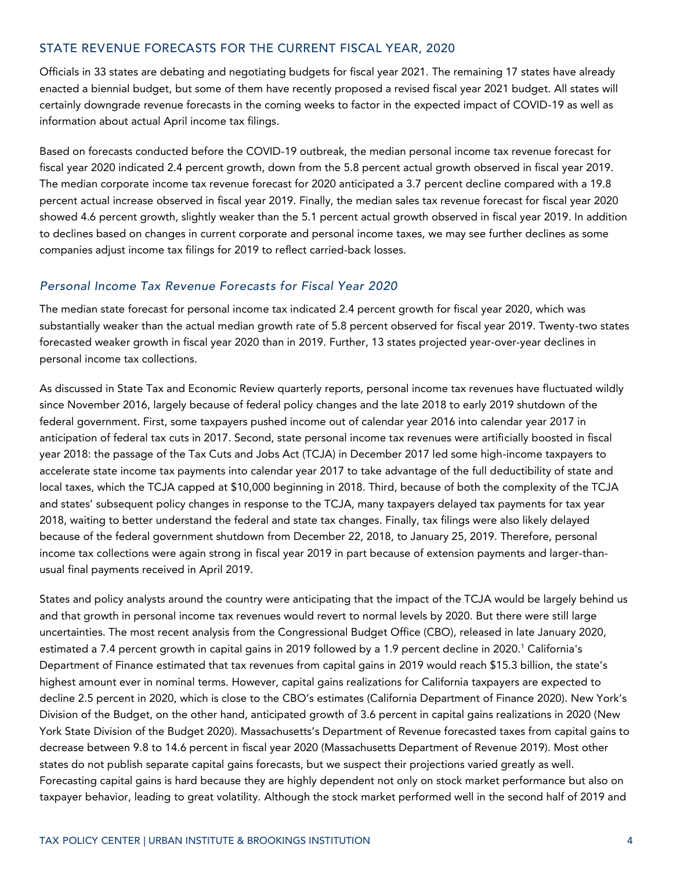## STATE REVENUE FORECASTS FOR THE CURRENT FISCAL YEAR, 2020

Officials in 33 states are debating and negotiating budgets for fiscal year 2021. The remaining 17 states have already enacted a biennial budget, but some of them have recently proposed a revised fiscal year 2021 budget. All states will certainly downgrade revenue forecasts in the coming weeks to factor in the expected impact of COVID-19 as well as information about actual April income tax filings.

Based on forecasts conducted before the COVID-19 outbreak, the median personal income tax revenue forecast for fiscal year 2020 indicated 2.4 percent growth, down from the 5.8 percent actual growth observed in fiscal year 2019. The median corporate income tax revenue forecast for 2020 anticipated a 3.7 percent decline compared with a 19.8 percent actual increase observed in fiscal year 2019. Finally, the median sales tax revenue forecast for fiscal year 2020 showed 4.6 percent growth, slightly weaker than the 5.1 percent actual growth observed in fiscal year 2019. In addition to declines based on changes in current corporate and personal income taxes, we may see further declines as some companies adjust income tax filings for 2019 to reflect carried-back losses.

#### *Personal Income Tax Revenue Forecasts for Fiscal Year 2020*

The median state forecast for personal income tax indicated 2.4 percent growth for fiscal year 2020, which was substantially weaker than the actual median growth rate of 5.8 percent observed for fiscal year 2019. Twenty-two states forecasted weaker growth in fiscal year 2020 than in 2019. Further, 13 states projected year-over-year declines in personal income tax collections.

As discussed in State Tax and Economic Review quarterly reports, personal income tax revenues have fluctuated wildly since November 2016, largely because of federal policy changes and the late 2018 to early 2019 shutdown of the federal government. First, some taxpayers pushed income out of calendar year 2016 into calendar year 2017 in anticipation of federal tax cuts in 2017. Second, state personal income tax revenues were artificially boosted in fiscal year 2018: the passage of the Tax Cuts and Jobs Act (TCJA) in December 2017 led some high-income taxpayers to accelerate state income tax payments into calendar year 2017 to take advantage of the full deductibility of state and local taxes, which the TCJA capped at \$10,000 beginning in 2018. Third, because of both the complexity of the TCJA and states' subsequent policy changes in response to the TCJA, many taxpayers delayed tax payments for tax year 2018, waiting to better understand the federal and state tax changes. Finally, tax filings were also likely delayed because of the federal government shutdown from December 22, 2018, to January 25, 2019. Therefore, personal income tax collections were again strong in fiscal year 2019 in part because of extension payments and larger-thanusual final payments received in April 2019.

States and policy analysts around the country were anticipating that the impact of the TCJA would be largely behind us and that growth in personal income tax revenues would revert to normal levels by 2020. But there were still large uncertainties. The most recent analysis from the Congressional Budget Office (CBO), released in late January 2020, estimated a 7.4 percent growth in capital gains in 2019 followed by a 1.9 percent decline in 2020.<sup>1</sup> California's Department of Finance estimated that tax revenues from capital gains in 2019 would reach \$15.3 billion, the state's highest amount ever in nominal terms. However, capital gains realizations for California taxpayers are expected to decline 2.5 percent in 2020, which is close to the CBO's estimates (California Department of Finance 2020). New York's Division of the Budget, on the other hand, anticipated growth of 3.6 percent in capital gains realizations in 2020 (New York State Division of the Budget 2020). Massachusetts's Department of Revenue forecasted taxes from capital gains to decrease between 9.8 to 14.6 percent in fiscal year 2020 (Massachusetts Department of Revenue 2019). Most other states do not publish separate capital gains forecasts, but we suspect their projections varied greatly as well. Forecasting capital gains is hard because they are highly dependent not only on stock market performance but also on taxpayer behavior, leading to great volatility. Although the stock market performed well in the second half of 2019 and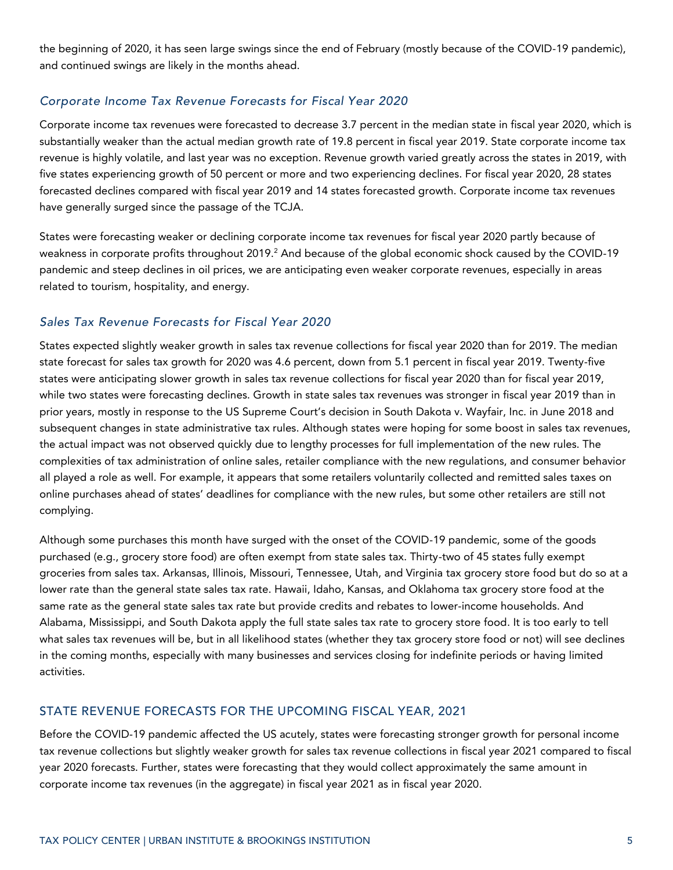the beginning of 2020, it has seen large swings since the end of February (mostly because of the COVID-19 pandemic), and continued swings are likely in the months ahead.

## *Corporate Income Tax Revenue Forecasts for Fiscal Year 2020*

Corporate income tax revenues were forecasted to decrease 3.7 percent in the median state in fiscal year 2020, which is substantially weaker than the actual median growth rate of 19.8 percent in fiscal year 2019. State corporate income tax revenue is highly volatile, and last year was no exception. Revenue growth varied greatly across the states in 2019, with five states experiencing growth of 50 percent or more and two experiencing declines. For fiscal year 2020, 28 states forecasted declines compared with fiscal year 2019 and 14 states forecasted growth. Corporate income tax revenues have generally surged since the passage of the TCJA.

States were forecasting weaker or declining corporate income tax revenues for fiscal year 2020 partly because of weakness in corporate profits throughout 2019.<sup>2</sup> And because of the global economic shock caused by the COVID-19 pandemic and steep declines in oil prices, we are anticipating even weaker corporate revenues, especially in areas related to tourism, hospitality, and energy.

#### *Sales Tax Revenue Forecasts for Fiscal Year 2020*

States expected slightly weaker growth in sales tax revenue collections for fiscal year 2020 than for 2019. The median state forecast for sales tax growth for 2020 was 4.6 percent, down from 5.1 percent in fiscal year 2019. Twenty-five states were anticipating slower growth in sales tax revenue collections for fiscal year 2020 than for fiscal year 2019, while two states were forecasting declines. Growth in state sales tax revenues was stronger in fiscal year 2019 than in prior years, mostly in response to the US Supreme Court's decision in South Dakota v. Wayfair, Inc. in June 2018 and subsequent changes in state administrative tax rules. Although states were hoping for some boost in sales tax revenues, the actual impact was not observed quickly due to lengthy processes for full implementation of the new rules. The complexities of tax administration of online sales, retailer compliance with the new regulations, and consumer behavior all played a role as well. For example, it appears that some retailers voluntarily collected and remitted sales taxes on online purchases ahead of states' deadlines for compliance with the new rules, but some other retailers are still not complying.

Although some purchases this month have surged with the onset of the COVID-19 pandemic, some of the goods purchased (e.g., grocery store food) are often exempt from state sales tax. Thirty-two of 45 states fully exempt groceries from sales tax. Arkansas, Illinois, Missouri, Tennessee, Utah, and Virginia tax grocery store food but do so at a lower rate than the general state sales tax rate. Hawaii, Idaho, Kansas, and Oklahoma tax grocery store food at the same rate as the general state sales tax rate but provide credits and rebates to lower-income households. And Alabama, Mississippi, and South Dakota apply the full state sales tax rate to grocery store food. It is too early to tell what sales tax revenues will be, but in all likelihood states (whether they tax grocery store food or not) will see declines in the coming months, especially with many businesses and services closing for indefinite periods or having limited activities.

#### STATE REVENUE FORECASTS FOR THE UPCOMING FISCAL YEAR, 2021

Before the COVID-19 pandemic affected the US acutely, states were forecasting stronger growth for personal income tax revenue collections but slightly weaker growth for sales tax revenue collections in fiscal year 2021 compared to fiscal year 2020 forecasts. Further, states were forecasting that they would collect approximately the same amount in corporate income tax revenues (in the aggregate) in fiscal year 2021 as in fiscal year 2020.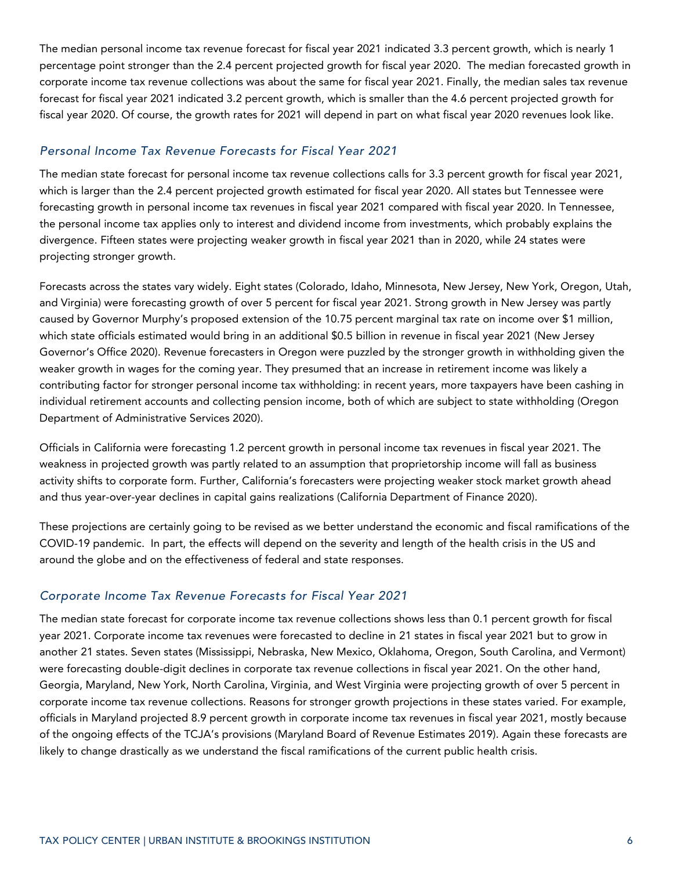The median personal income tax revenue forecast for fiscal year 2021 indicated 3.3 percent growth, which is nearly 1 percentage point stronger than the 2.4 percent projected growth for fiscal year 2020. The median forecasted growth in corporate income tax revenue collections was about the same for fiscal year 2021. Finally, the median sales tax revenue forecast for fiscal year 2021 indicated 3.2 percent growth, which is smaller than the 4.6 percent projected growth for fiscal year 2020. Of course, the growth rates for 2021 will depend in part on what fiscal year 2020 revenues look like.

## *Personal Income Tax Revenue Forecasts for Fiscal Year 2021*

The median state forecast for personal income tax revenue collections calls for 3.3 percent growth for fiscal year 2021, which is larger than the 2.4 percent projected growth estimated for fiscal year 2020. All states but Tennessee were forecasting growth in personal income tax revenues in fiscal year 2021 compared with fiscal year 2020. In Tennessee, the personal income tax applies only to interest and dividend income from investments, which probably explains the divergence. Fifteen states were projecting weaker growth in fiscal year 2021 than in 2020, while 24 states were projecting stronger growth.

Forecasts across the states vary widely. Eight states (Colorado, Idaho, Minnesota, New Jersey, New York, Oregon, Utah, and Virginia) were forecasting growth of over 5 percent for fiscal year 2021. Strong growth in New Jersey was partly caused by Governor Murphy's proposed extension of the 10.75 percent marginal tax rate on income over \$1 million, which state officials estimated would bring in an additional \$0.5 billion in revenue in fiscal year 2021 (New Jersey Governor's Office 2020). Revenue forecasters in Oregon were puzzled by the stronger growth in withholding given the weaker growth in wages for the coming year. They presumed that an increase in retirement income was likely a contributing factor for stronger personal income tax withholding: in recent years, more taxpayers have been cashing in individual retirement accounts and collecting pension income, both of which are subject to state withholding (Oregon Department of Administrative Services 2020).

Officials in California were forecasting 1.2 percent growth in personal income tax revenues in fiscal year 2021. The weakness in projected growth was partly related to an assumption that proprietorship income will fall as business activity shifts to corporate form. Further, California's forecasters were projecting weaker stock market growth ahead and thus year-over-year declines in capital gains realizations (California Department of Finance 2020).

These projections are certainly going to be revised as we better understand the economic and fiscal ramifications of the COVID-19 pandemic. In part, the effects will depend on the severity and length of the health crisis in the US and around the globe and on the effectiveness of federal and state responses.

# *Corporate Income Tax Revenue Forecasts for Fiscal Year 2021*

The median state forecast for corporate income tax revenue collections shows less than 0.1 percent growth for fiscal year 2021. Corporate income tax revenues were forecasted to decline in 21 states in fiscal year 2021 but to grow in another 21 states. Seven states (Mississippi, Nebraska, New Mexico, Oklahoma, Oregon, South Carolina, and Vermont) were forecasting double-digit declines in corporate tax revenue collections in fiscal year 2021. On the other hand, Georgia, Maryland, New York, North Carolina, Virginia, and West Virginia were projecting growth of over 5 percent in corporate income tax revenue collections. Reasons for stronger growth projections in these states varied. For example, officials in Maryland projected 8.9 percent growth in corporate income tax revenues in fiscal year 2021, mostly because of the ongoing effects of the TCJA's provisions (Maryland Board of Revenue Estimates 2019). Again these forecasts are likely to change drastically as we understand the fiscal ramifications of the current public health crisis.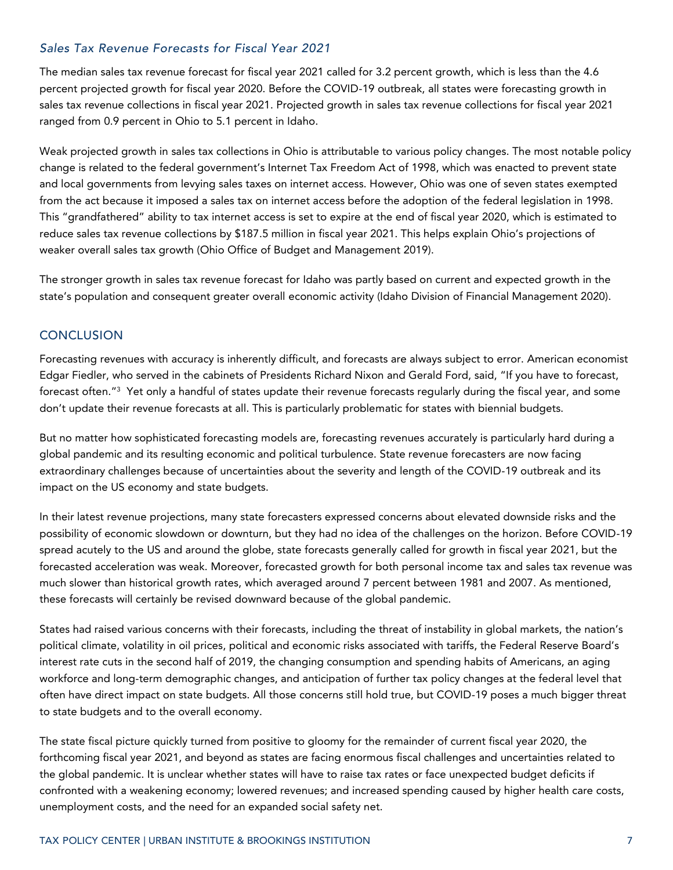## *Sales Tax Revenue Forecasts for Fiscal Year 2021*

The median sales tax revenue forecast for fiscal year 2021 called for 3.2 percent growth, which is less than the 4.6 percent projected growth for fiscal year 2020. Before the COVID-19 outbreak, all states were forecasting growth in sales tax revenue collections in fiscal year 2021. Projected growth in sales tax revenue collections for fiscal year 2021 ranged from 0.9 percent in Ohio to 5.1 percent in Idaho.

Weak projected growth in sales tax collections in Ohio is attributable to various policy changes. The most notable policy change is related to the federal government's Internet Tax Freedom Act of 1998, which was enacted to prevent state and local governments from levying sales taxes on internet access. However, Ohio was one of seven states exempted from the act because it imposed a sales tax on internet access before the adoption of the federal legislation in 1998. This "grandfathered" ability to tax internet access is set to expire at the end of fiscal year 2020, which is estimated to reduce sales tax revenue collections by \$187.5 million in fiscal year 2021. This helps explain Ohio's projections of weaker overall sales tax growth (Ohio Office of Budget and Management 2019).

The stronger growth in sales tax revenue forecast for Idaho was partly based on current and expected growth in the state's population and consequent greater overall economic activity (Idaho Division of Financial Management 2020).

#### **CONCLUSION**

Forecasting revenues with accuracy is inherently difficult, and forecasts are always subject to error. American economist Edgar Fiedler, who served in the cabinets of Presidents Richard Nixon and Gerald Ford, said, "If you have to forecast, forecast often."<sup>3</sup> Yet only a handful of states update their revenue forecasts regularly during the fiscal year, and some don't update their revenue forecasts at all. This is particularly problematic for states with biennial budgets.

But no matter how sophisticated forecasting models are, forecasting revenues accurately is particularly hard during a global pandemic and its resulting economic and political turbulence. State revenue forecasters are now facing extraordinary challenges because of uncertainties about the severity and length of the COVID-19 outbreak and its impact on the US economy and state budgets.

In their latest revenue projections, many state forecasters expressed concerns about elevated downside risks and the possibility of economic slowdown or downturn, but they had no idea of the challenges on the horizon. Before COVID-19 spread acutely to the US and around the globe, state forecasts generally called for growth in fiscal year 2021, but the forecasted acceleration was weak. Moreover, forecasted growth for both personal income tax and sales tax revenue was much slower than historical growth rates, which averaged around 7 percent between 1981 and 2007. As mentioned, these forecasts will certainly be revised downward because of the global pandemic.

States had raised various concerns with their forecasts, including the threat of instability in global markets, the nation's political climate, volatility in oil prices, political and economic risks associated with tariffs, the Federal Reserve Board's interest rate cuts in the second half of 2019, the changing consumption and spending habits of Americans, an aging workforce and long-term demographic changes, and anticipation of further tax policy changes at the federal level that often have direct impact on state budgets. All those concerns still hold true, but COVID-19 poses a much bigger threat to state budgets and to the overall economy.

The state fiscal picture quickly turned from positive to gloomy for the remainder of current fiscal year 2020, the forthcoming fiscal year 2021, and beyond as states are facing enormous fiscal challenges and uncertainties related to the global pandemic. It is unclear whether states will have to raise tax rates or face unexpected budget deficits if confronted with a weakening economy; lowered revenues; and increased spending caused by higher health care costs, unemployment costs, and the need for an expanded social safety net.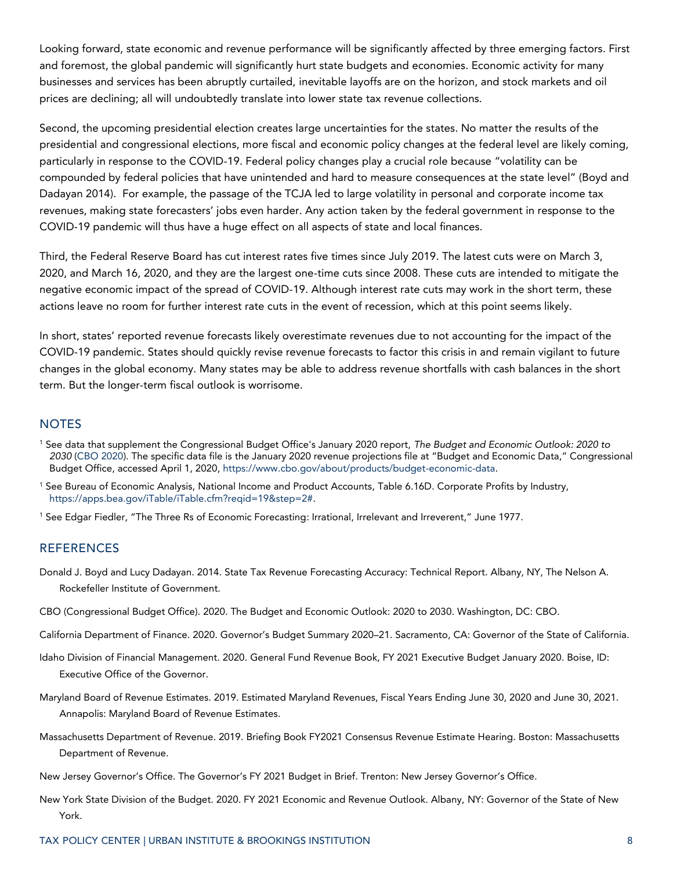Looking forward, state economic and revenue performance will be significantly affected by three emerging factors. First and foremost, the global pandemic will significantly hurt state budgets and economies. Economic activity for many businesses and services has been abruptly curtailed, inevitable layoffs are on the horizon, and stock markets and oil prices are declining; all will undoubtedly translate into lower state tax revenue collections.

Second, the upcoming presidential election creates large uncertainties for the states. No matter the results of the presidential and congressional elections, more fiscal and economic policy changes at the federal level are likely coming, particularly in response to the COVID-19. Federal policy changes play a crucial role because "volatility can be compounded by federal policies that have unintended and hard to measure consequences at the state level" (Boyd and Dadayan 2014). For example, the passage of the TCJA led to large volatility in personal and corporate income tax revenues, making state forecasters' jobs even harder. Any action taken by the federal government in response to the COVID-19 pandemic will thus have a huge effect on all aspects of state and local finances.

Third, the Federal Reserve Board has cut interest rates five times since July 2019. The latest cuts were on March 3, 2020, and March 16, 2020, and they are the largest one-time cuts since 2008. These cuts are intended to mitigate the negative economic impact of the spread of COVID-19. Although interest rate cuts may work in the short term, these actions leave no room for further interest rate cuts in the event of recession, which at this point seems likely.

In short, states' reported revenue forecasts likely overestimate revenues due to not accounting for the impact of the COVID-19 pandemic. States should quickly revise revenue forecasts to factor this crisis in and remain vigilant to future changes in the global economy. Many states may be able to address revenue shortfalls with cash balances in the short term. But the longer-term fiscal outlook is worrisome.

#### **NOTES**

- <sup>1</sup> See data that supplement the Congressional Budget Office's January 2020 report, *The Budget and Economic Outlook: 2020 to 2030* [\(CBO](https://www.cbo.gov/publication/56020) 2020). The specific data file is the January 2020 revenue projections file at "Budget and Economic Data," Congressional Budget Office, accessed April 1, 2020, [https://www.cbo.gov/about/products/budget-economic-data.](https://www.cbo.gov/about/products/budget-economic-data)
- <sup>1</sup> See Bureau of Economic Analysis, National Income and Product Accounts, Table 6.16D. Corporate Profits by Industry, [https://apps.bea.gov/iTable/iTable.cfm?reqid=19&step=2#.](https://apps.bea.gov/iTable/iTable.cfm?reqid=19&step=2)
- <sup>1</sup> See Edgar Fiedler, "The Three Rs of Economic Forecasting: Irrational, Irrelevant and Irreverent," June 1977.

#### **REFERENCES**

- Donald J. Boyd and Lucy Dadayan. 2014. State Tax Revenue Forecasting Accuracy: Technical Report. Albany, NY, The Nelson A. Rockefeller Institute of Government.
- CBO (Congressional Budget Office). 2020. The Budget and Economic Outlook: 2020 to 2030. Washington, DC: CBO.
- California Department of Finance. 2020. Governor's Budget Summary 2020–21. Sacramento, CA: Governor of the State of California.
- Idaho Division of Financial Management. 2020. General Fund Revenue Book, FY 2021 Executive Budget January 2020. Boise, ID: Executive Office of the Governor.
- Maryland Board of Revenue Estimates. 2019. Estimated Maryland Revenues, Fiscal Years Ending June 30, 2020 and June 30, 2021. Annapolis: Maryland Board of Revenue Estimates.
- Massachusetts Department of Revenue. 2019. Briefing Book FY2021 Consensus Revenue Estimate Hearing. Boston: Massachusetts Department of Revenue.
- New Jersey Governor's Office. The Governor's FY 2021 Budget in Brief. Trenton: New Jersey Governor's Office.
- New York State Division of the Budget. 2020. FY 2021 Economic and Revenue Outlook. Albany, NY: Governor of the State of New York.